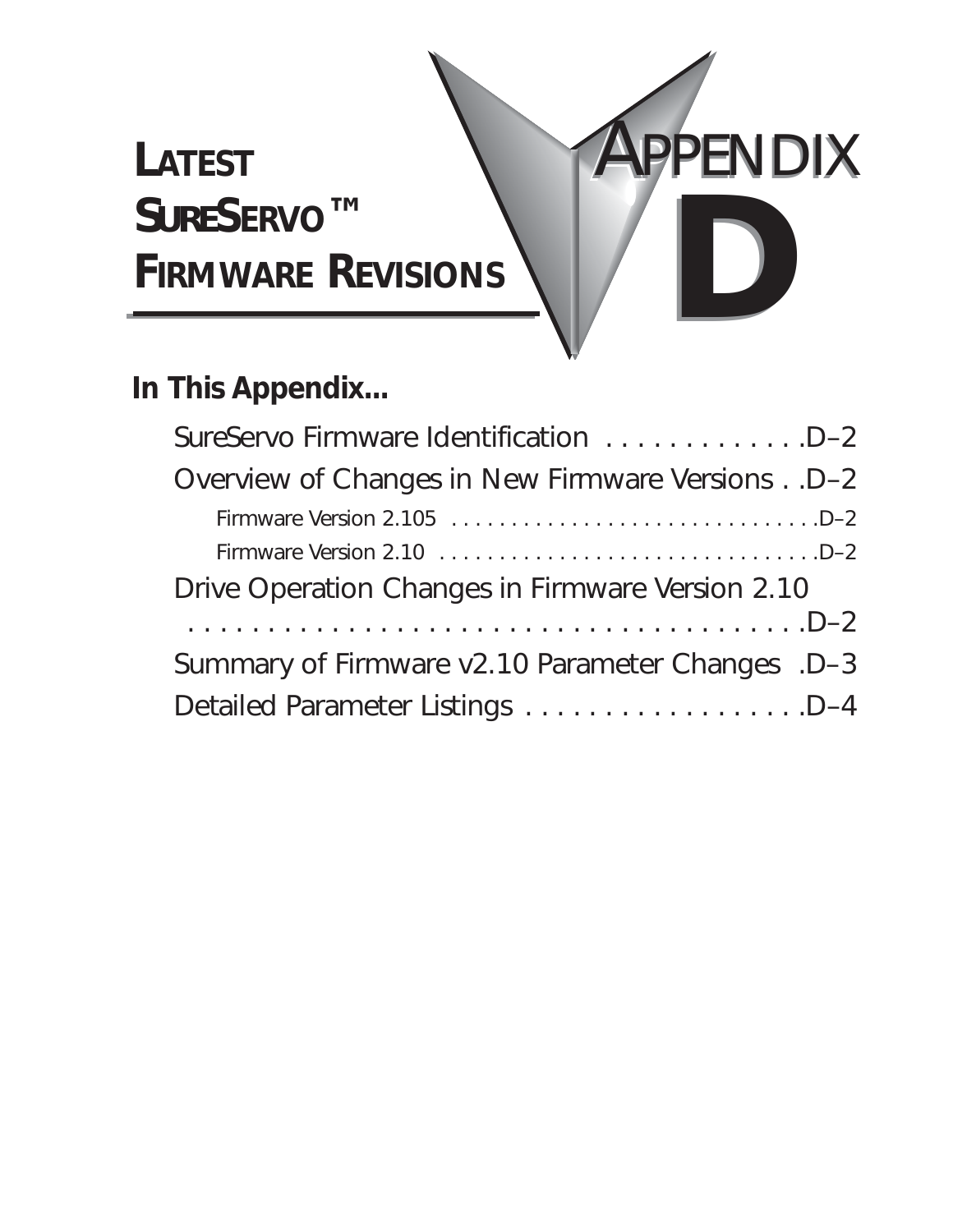# **LATEST** *SURE***SERVO™ FIRMWARE REVISIONS**

## **In This Appendix...**

| SureServo Firmware Identification D-2            |
|--------------------------------------------------|
| Overview of Changes in New Firmware Versions D-2 |
|                                                  |
|                                                  |
| Drive Operation Changes in Firmware Version 2.10 |
|                                                  |
| Summary of Firmware v2.10 Parameter Changes .D-3 |
| Detailed Parameter Listings D-4                  |

APPENDIX

**DB D**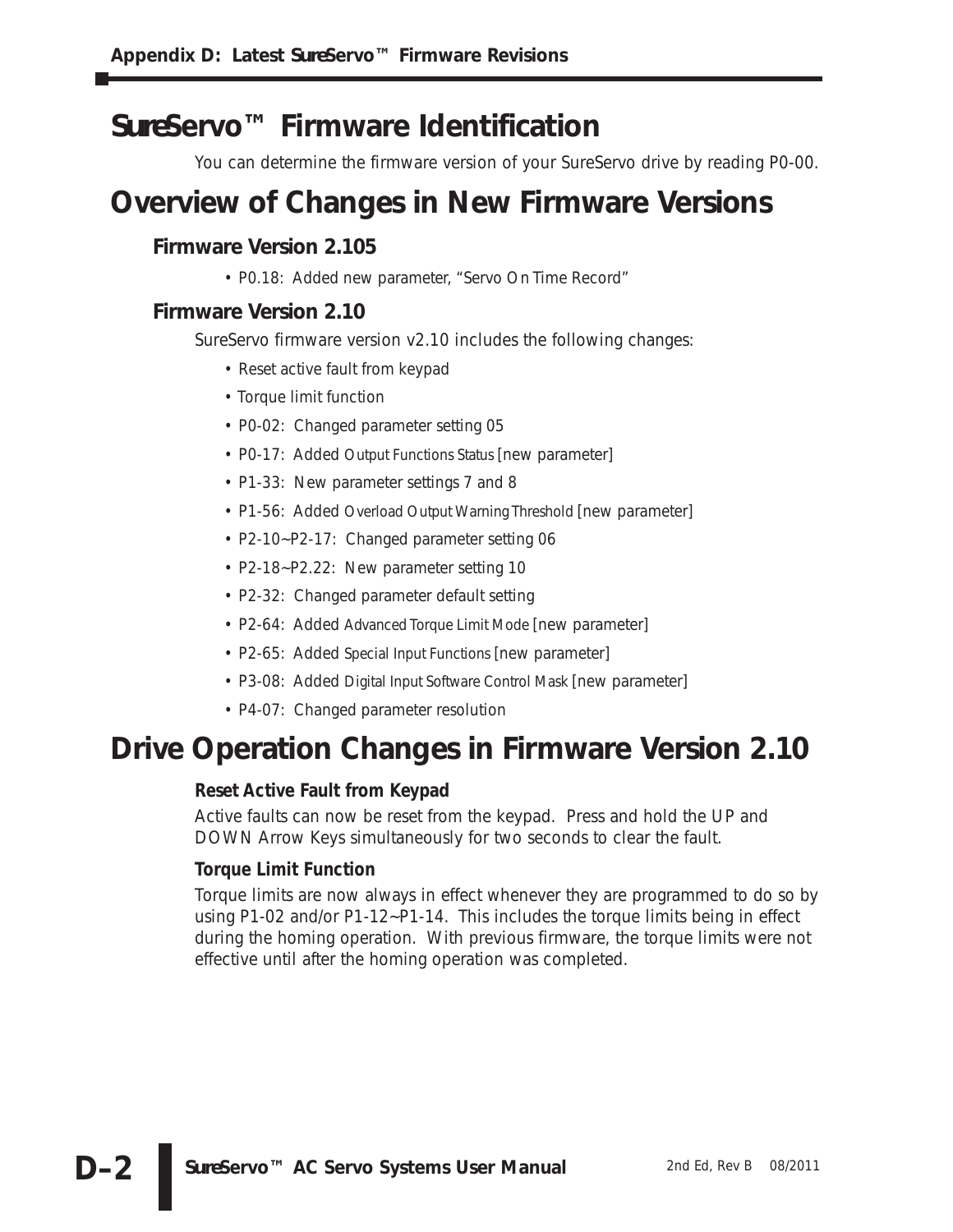## *Sure***Servo™ Firmware Identification**

You can determine the firmware version of your *Sure*Servo drive by reading P0-00.

## **Overview of Changes in New Firmware Versions**

### **Firmware Version 2.105**

• P0.18: Added new parameter, "Servo On Time Record"

### **Firmware Version 2.10**

*Sure*Servo firmware version v2.10 includes the following changes:

- Reset active fault from keypad
- Torque limit function
- P0-02: Changed parameter setting 05
- P0-17: Added Output Functions Status [new parameter]
- P1-33: New parameter settings 7 and 8
- P1-56: Added Overload Output Warning Threshold [new parameter]
- P2-10~P2-17: Changed parameter setting 06
- P2-18~P2.22: New parameter setting 10
- P2-32: Changed parameter default setting
- P2-64: Added Advanced Torque Limit Mode [new parameter]
- P2-65: Added Special Input Functions [new parameter]
- P3-08: Added Digital Input Software Control Mask [new parameter]
- P4-07: Changed parameter resolution

## **Drive Operation Changes in Firmware Version 2.10**

### **Reset Active Fault from Keypad**

Active faults can now be reset from the keypad. Press and hold the UP and DOWN Arrow Keys simultaneously for two seconds to clear the fault.

### **Torque Limit Function**

Torque limits are now always in effect whenever they are programmed to do so by using P1-02 and/or P1-12~P1-14. This includes the torque limits being in effect during the homing operation. With previous firmware, the torque limits were not effective until after the homing operation was completed.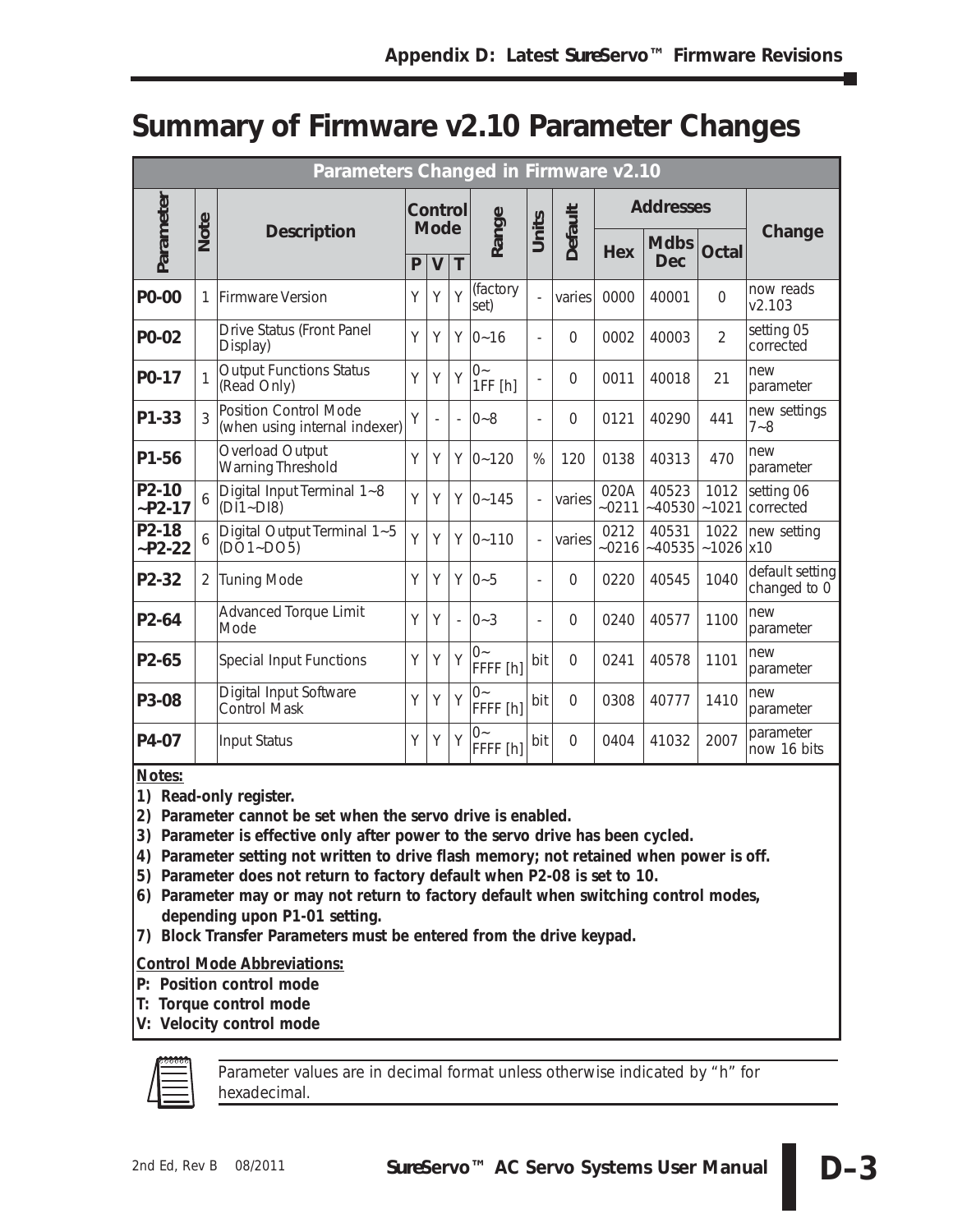## **Summary of Firmware v2.10 Parameter Changes**

|                     | Parameters Changed in Firmware v2.10 |                                                               |                                       |                          |                |                    |                          |                |                 |                           |                     |                                 |
|---------------------|--------------------------------------|---------------------------------------------------------------|---------------------------------------|--------------------------|----------------|--------------------|--------------------------|----------------|-----------------|---------------------------|---------------------|---------------------------------|
|                     |                                      |                                                               |                                       | Control                  |                |                    |                          |                |                 | <b>Addresses</b>          |                     |                                 |
| Parameter           | Note                                 | <b>Description</b>                                            | <b>Mode</b><br>T<br>P<br>$\mathsf{V}$ |                          |                | Range              | Units                    | <b>Default</b> | <b>Hex</b>      | <b>Mdbs</b><br><b>Dec</b> | Octal               | Change                          |
| P0-00               | 1                                    | <b>Firmware Version</b>                                       | Υ                                     | Υ                        | Y              | (factory<br>set)   |                          | varies         | 0000            | 40001                     | $\mathbf 0$         | now reads<br>V2.103             |
| P0-02               |                                      | Drive Status (Front Panel<br>Display)                         | Y                                     | Y                        | Y              | $0 - 16$           | $\overline{a}$           | $\Omega$       | 0002            | 40003                     | $\overline{2}$      | setting 05<br>corrected         |
| P0-17               |                                      | <b>Output Functions Status</b><br>(Read Only)                 | Y                                     | Y                        | Y              | $0-$<br>1FF[h]     |                          | $\Omega$       | 0011            | 40018                     | 21                  | new<br>parameter                |
| P1-33               | 3                                    | <b>Position Control Mode</b><br>(when using internal indexer) | Υ                                     | $\overline{\phantom{a}}$ | $\overline{a}$ | $0 - 8$            | $\overline{a}$           | $\Omega$       | 0121            | 40290                     | 441                 | new settings<br>$7 - 8$         |
| P1-56               |                                      | Overload Output<br><b>Warning Threshold</b>                   | Υ                                     | Υ                        | Υ              | $0 - 120$          | %                        | 120            | 0138            | 40313                     | 470                 | new<br>parameter                |
| $P2-10$<br>$-P2-17$ | 6                                    | Digital Input Terminal 1~8<br>$(DI1-DI8)$                     | Y                                     | Y                        | Y              | $0 - 145$          | $\overline{a}$           | varies         | 020A<br>$-0211$ | 40523<br>$-40530$         | 1012<br>~1021       | setting 06<br>corrected         |
| P2-18<br>$-P2-22$   |                                      | Digital Output Terminal 1~5<br>$(DO1-DO5)$                    | Y                                     | Y                        | Y              | $0 - 110$          | $\overline{\phantom{a}}$ | varies         | 0212<br>$-0216$ | 40531<br>$-40535$         | 1022<br>$-1026$ x10 | new setting                     |
| P2-32               | 2                                    | <b>Tuning Mode</b>                                            | Y                                     | Y                        | Y              | $0 - 5$            | $\overline{\phantom{a}}$ | $\Omega$       | 0220            | 40545                     | 1040                | default setting<br>changed to 0 |
| P2-64               |                                      | <b>Advanced Torque Limit</b><br>Mode                          | Y                                     | Y                        | $\overline{a}$ | $0 - 3$            | $\overline{a}$           | $\Omega$       | 0240            | 40577                     | 1100                | new<br>parameter                |
| P2-65               |                                      | <b>Special Input Functions</b>                                |                                       | Y                        | Y              | $()$ ~<br>FFFF [h] | bit                      | $\Omega$       | 0241            | 40578                     | 1101                | new<br>parameter                |
| P3-08               |                                      | Digital Input Software<br>Control Mask                        | Y                                     | Υ                        | Y              | $0 -$<br>FFFF [h]  | bit                      | $\overline{0}$ | 0308            | 40777                     | 1410                | new<br>parameter                |
| P4-07               |                                      | <b>Input Status</b>                                           | Y                                     | Υ                        | Y              | $()$ ~<br>FFFF [h] | bit                      | $\Omega$       | 0404            | 41032                     | 2007                | parameter<br>now 16 bits        |

*Notes:*

- *1) Read-only register.*
- *2) Parameter cannot be set when the servo drive is enabled.*
- *3) Parameter is effective only after power to the servo drive has been cycled.*
- *4) Parameter setting not written to drive flash memory; not retained when power is off.*
- *5) Parameter does not return to factory default when P2-08 is set to 10.*
- *6) Parameter may or may not return to factory default when switching control modes, depending upon P1-01 setting.*
- *7) Block Transfer Parameters must be entered from the drive keypad.*

### *Control Mode Abbreviations:*

- *P: Position control mode*
- *T: Torque control mode*
- *V: Velocity control mode*



*Parameter values are in decimal format unless otherwise indicated by "h" for hexadecimal.*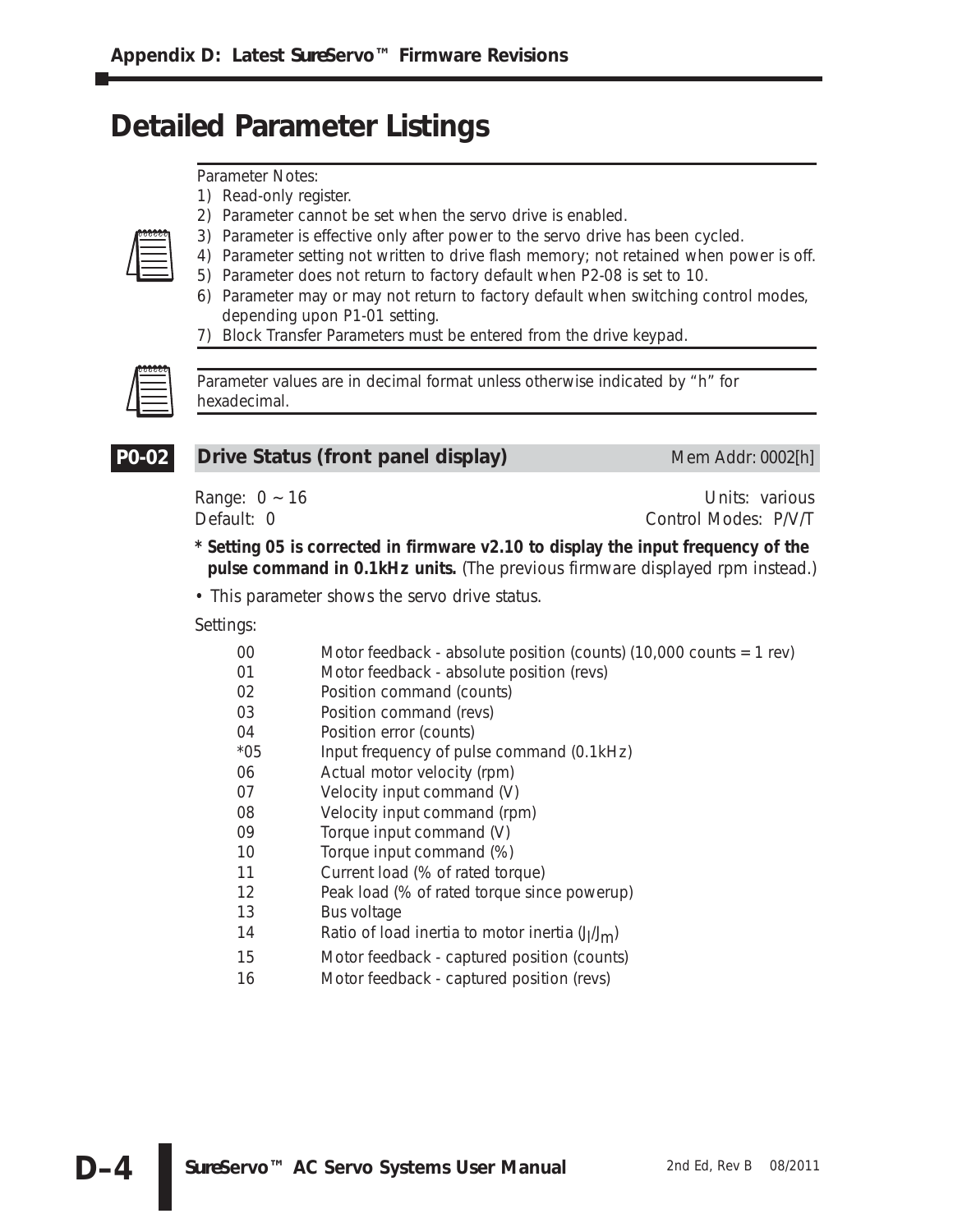## **Detailed Parameter Listings**

*Parameter Notes:*

*1) Read-only register.*

- *2) Parameter cannot be set when the servo drive is enabled.*
- *3) Parameter is effective only after power to the servo drive has been cycled.*
- *4) Parameter setting not written to drive flash memory; not retained when power is off.*
	- *5) Parameter does not return to factory default when P2-08 is set to 10.*
	- *6) Parameter may or may not return to factory default when switching control modes, depending upon P1-01 setting.*
	- *7) Block Transfer Parameters must be entered from the drive keypad.*



*Parameter values are in decimal format unless otherwise indicated by "h" for hexadecimal.*



### **Drive Status (front panel display)** Mem Addr: 0002[h]

Range: 0 ~ 16 Units: various Default: 0 Control Modes: P/V/T

**\* Setting 05 is corrected in firmware v2.10 to display the input frequency of the pulse command in 0.1kHz units.** (The previous firmware displayed rpm instead.)

• This parameter shows the servo drive status.

- 00 Motor feedback absolute position (counts) (10,000 counts = 1 rev)
- 01 Motor feedback absolute position (revs)
- 02 Position command (counts)
- 03 Position command (revs)
- 04 Position error (counts)
- \*05 Input frequency of pulse command (0.1kHz)
- 06 Actual motor velocity (rpm)
- 07 Velocity input command (V)
- 08 Velocity input command (rpm)
- 09 Torque input command (V)
- 10 Torque input command (%)
- 11 Current load (% of rated torque)
- 12 Peak load (% of rated torque since powerup)
- 13 Bus voltage
- 14 Ratio of load inertia to motor inertia (J<sub>I</sub>/J<sub>m</sub>)
- 15 Motor feedback captured position (counts)
- 16 Motor feedback captured position (revs)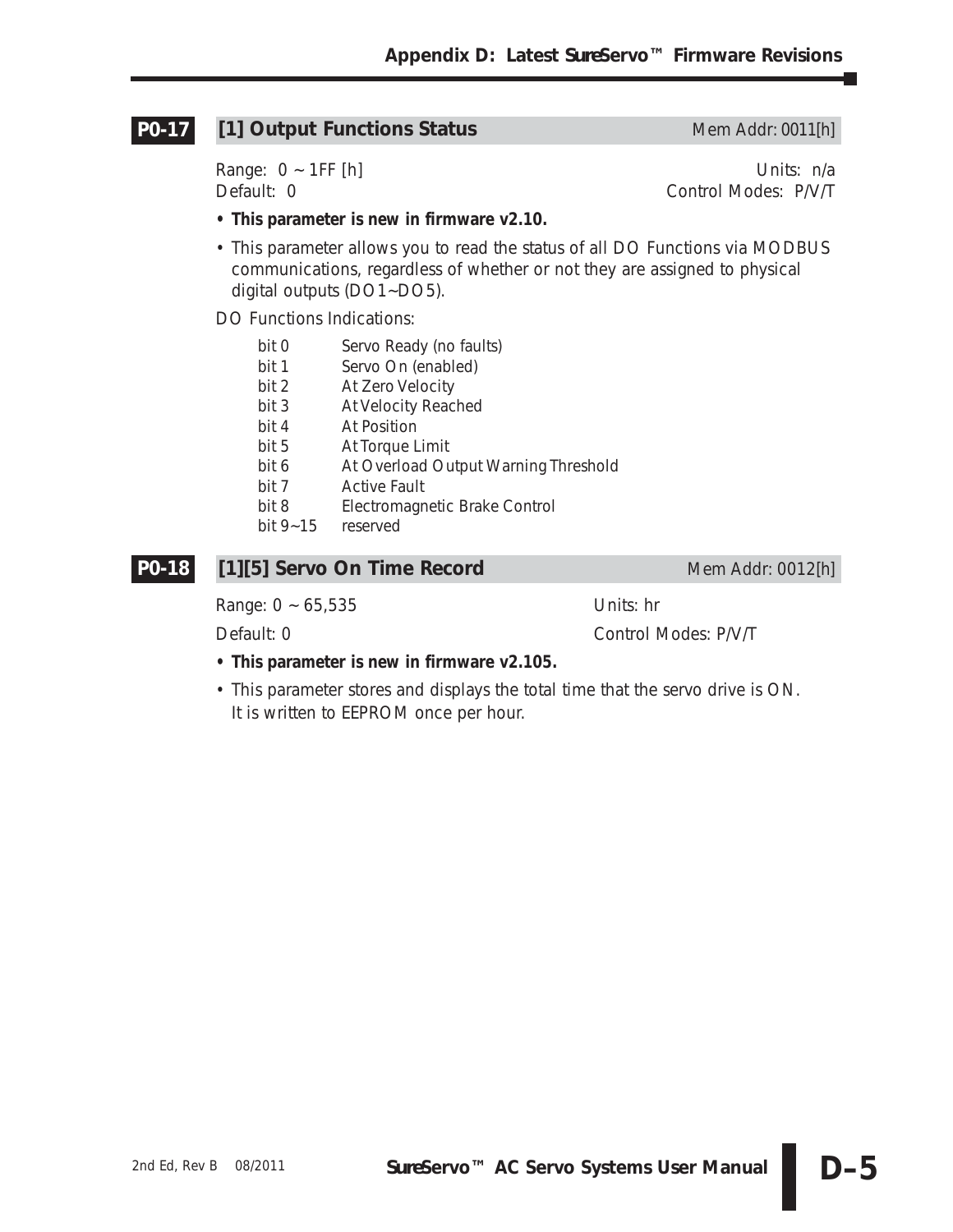#### **[1] Output Functions Status** Mem Addr: 0011[h] **P0-17**

Range: 0 ~ 1FF [h] Units: n/a Default: 0 Control Modes: P/V/T

- **This parameter is new in firmware v2.10.**
- This parameter allows you to read the status of all DO Functions via MODBUS communications, regardless of whether or not they are assigned to physical digital outputs (DO1~DO5).

DO Functions Indications:

- bit 0 Servo Ready (no faults)
- bit 1 Servo On (enabled)
- bit 2 At Zero Velocity
- bit 3 At Velocity Reached
- bit 4 At Position
- bit 5 At Torque Limit
- bit 6 At Overload Output Warning Threshold
- bit 7 Active Fault
- bit 8 Electromagnetic Brake Control
- bit 9~15 reserved

#### **[1][5] Servo On Time Record** Mem Addr: 0012[h] **P0-18**

Range: 0 ~ 65,535 Units: hr

Default: 0 Control Modes: P/V/T

- **This parameter is new in firmware v2.105.**
- This parameter stores and displays the total time that the servo drive is ON. It is written to EEPROM once per hour.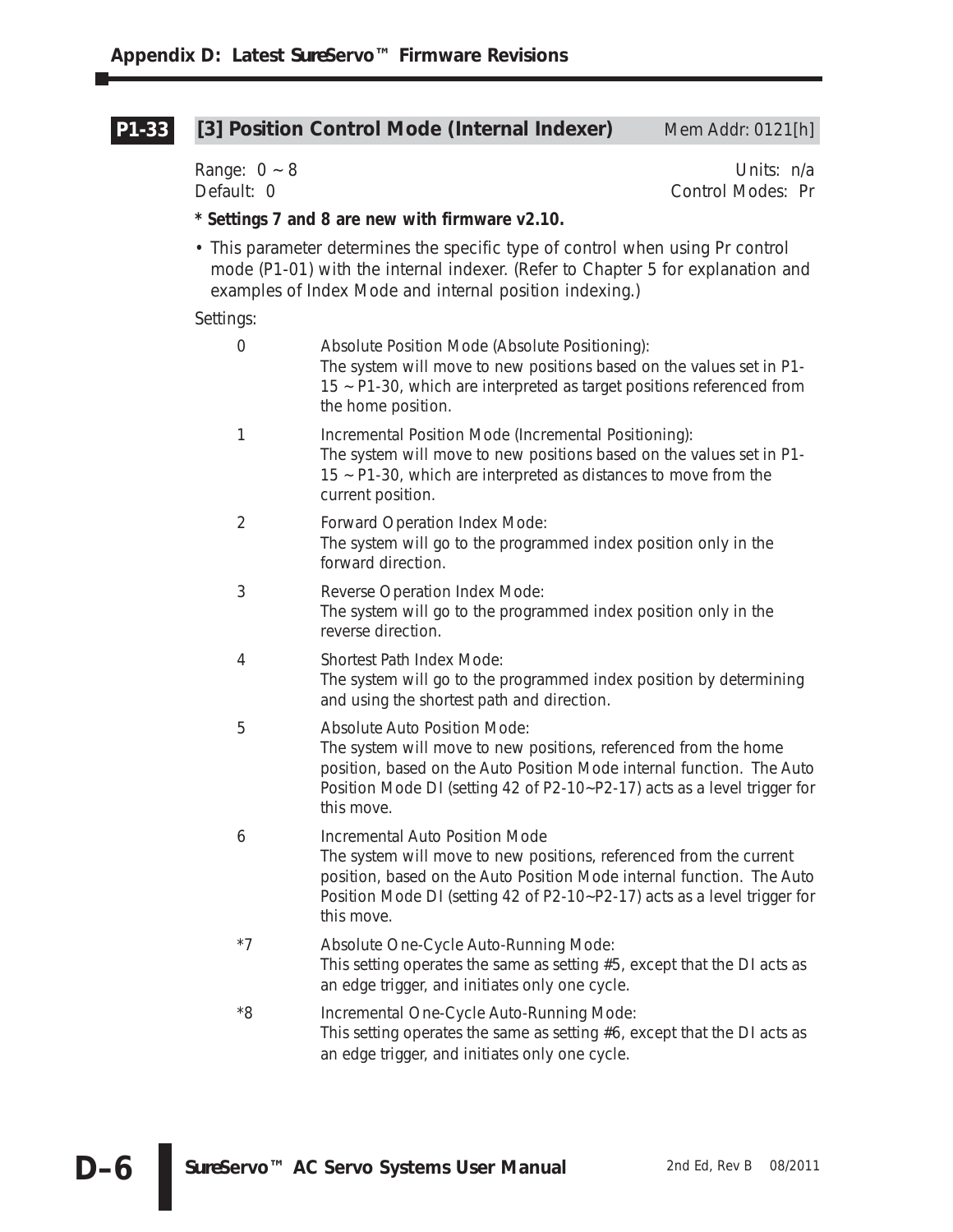#### [3] Position Control Mode (Internal Indexer) Mem Addr: 0121[h] **P1-33**

Range: 0 ~ 8 Units: n/a<br>Default: 0 Control Modes: Pr Control Modes: Pr

#### **\* Settings 7 and 8 are new with firmware v2.10.**

• This parameter determines the specific type of control when using Pr control mode (P1-01) with the internal indexer. (Refer to Chapter 5 for explanation and examples of Index Mode and internal position indexing.)

| $\mathbf 0$    | Absolute Position Mode (Absolute Positioning):<br>The system will move to new positions based on the values set in P1-<br>15 ~ P1-30, which are interpreted as target positions referenced from<br>the home position.                                                          |
|----------------|--------------------------------------------------------------------------------------------------------------------------------------------------------------------------------------------------------------------------------------------------------------------------------|
| 1              | Incremental Position Mode (Incremental Positioning):<br>The system will move to new positions based on the values set in P1-<br>15 ~ P1-30, which are interpreted as distances to move from the<br>current position.                                                           |
| $\overline{2}$ | Forward Operation Index Mode:<br>The system will go to the programmed index position only in the<br>forward direction.                                                                                                                                                         |
| 3              | Reverse Operation Index Mode:<br>The system will go to the programmed index position only in the<br>reverse direction.                                                                                                                                                         |
| 4              | Shortest Path Index Mode:<br>The system will go to the programmed index position by determining<br>and using the shortest path and direction.                                                                                                                                  |
| 5              | <b>Absolute Auto Position Mode:</b><br>The system will move to new positions, referenced from the home<br>position, based on the Auto Position Mode internal function. The Auto<br>Position Mode DI (setting 42 of P2-10~P2-17) acts as a level trigger for<br>this move.      |
| 6              | <b>Incremental Auto Position Mode</b><br>The system will move to new positions, referenced from the current<br>position, based on the Auto Position Mode internal function. The Auto<br>Position Mode DI (setting 42 of P2-10~P2-17) acts as a level trigger for<br>this move. |
| $*7$           | Absolute One-Cycle Auto-Running Mode:<br>This setting operates the same as setting #5, except that the DI acts as<br>an edge trigger, and initiates only one cycle.                                                                                                            |
| $^*8$          | Incremental One-Cycle Auto-Running Mode:<br>This setting operates the same as setting $#6$ , except that the DI acts as<br>an edge trigger, and initiates only one cycle.                                                                                                      |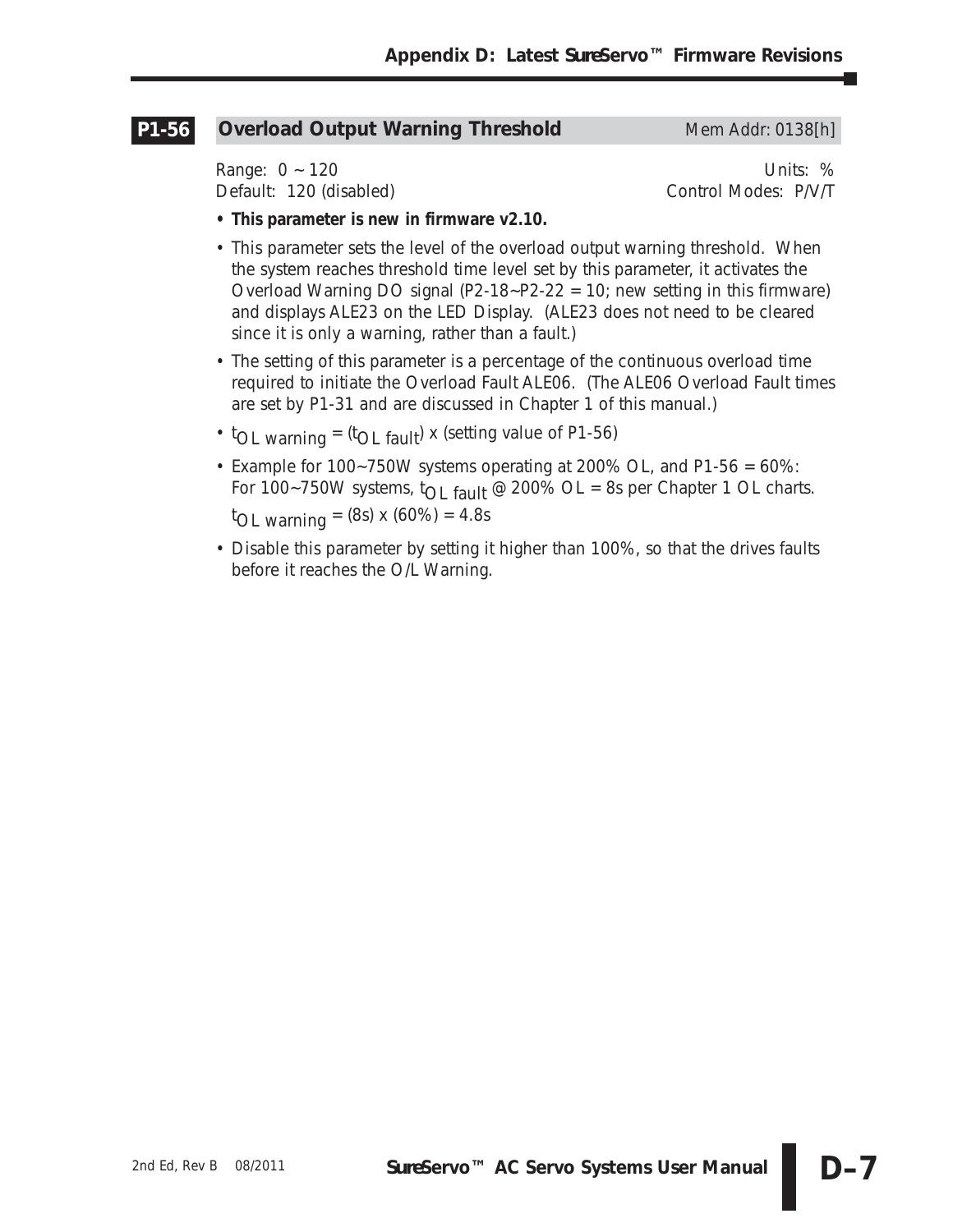#### **Overload Output Warning Threshold Mem Addr: 0138[h] P1-56**

Range: 0 ~ 120 Units: % Default: 120 (disabled) Control Modes: P/V/T

- **This parameter is new in firmware v2.10.**
- This parameter sets the level of the overload output warning threshold. When the system reaches threshold time level set by this parameter, it activates the Overload Warning DO signal (P2-18~P2-22 = 10; new setting in this firmware) and displays ALE23 on the LED Display. (ALE23 does not need to be cleared since it is only a warning, rather than a fault.)
- The setting of this parameter is a percentage of the continuous overload time required to initiate the Overload Fault ALE06. (The ALE06 Overload Fault times are set by P1-31 and are discussed in Chapter 1 of this manual.)
- $<sup>t</sup>OL$  warning =  $<sup>t</sup>OL$  fault) x (setting value of P1-56)</sup></sup>
- Example for 100~750W systems operating at 200% OL, and P1-56 = 60%: For 100~750W systems,  $t_{\text{O}}$  fault @ 200% OL = 8s per Chapter 1 OL charts. t OL warning = (8s) x (60%) = 4.8s
- Disable this parameter by setting it higher than 100%, so that the drives faults before it reaches the O/L Warning.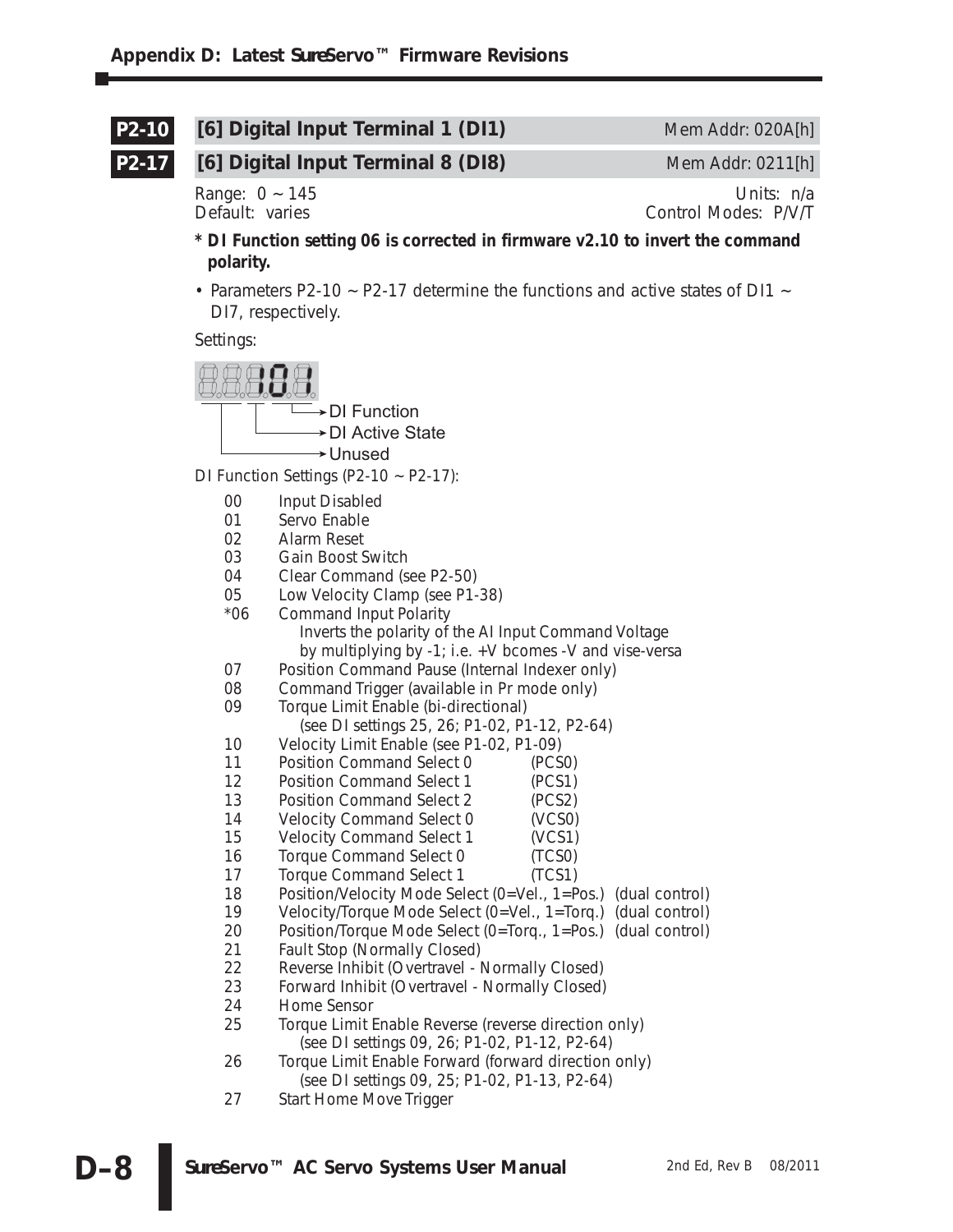#### **[6] Digital Input Terminal 1 (DI1)** Mem Addr: 020A[h] **P2-10**

**P2-17**

## **[6] Digital Input Terminal 8 (DI8)** Mem Addr: 0211[h]

Range: 0 ~ 145 Units: n/a<br>Default: varies example and the control Modes: P/V/T Control Modes: P/V/T

- **\* DI Function setting 06 is corrected in firmware v2.10 to invert the command polarity.**
- Parameters P2-10 ~ P2-17 determine the functions and active states of DI1 ~ DI7, respectively.

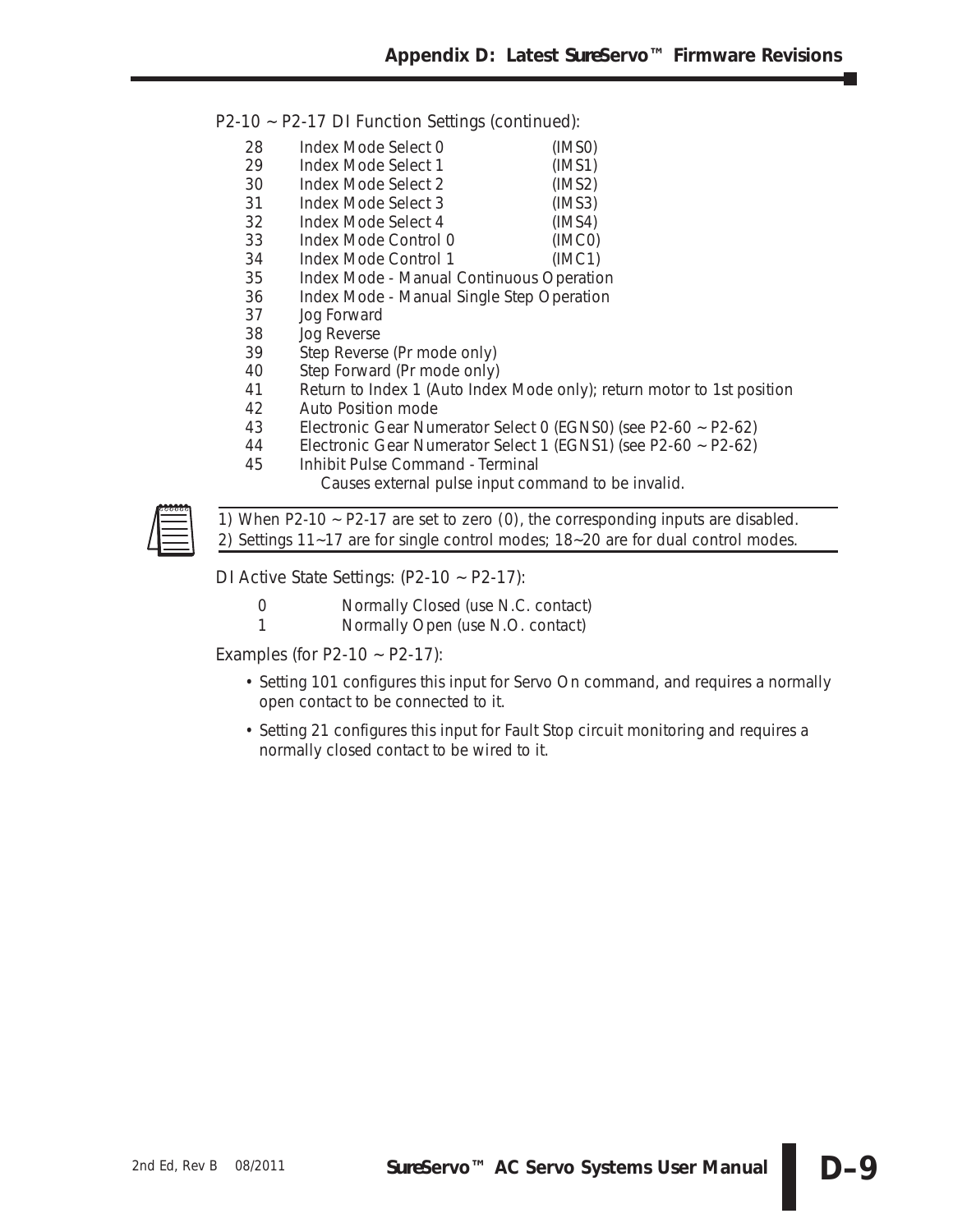P2-10 ~ P2-17 DI Function Settings (continued):

- 28 Index Mode Select 0 (IMS0)<br>29 Index Mode Select 1 (IMS1) Index Mode Select 1 (IMS1) 30 Index Mode Select 2 (IMS2) 31 Index Mode Select 3 (IMS3) 32 Index Mode Select 4 (IMS4)<br>33 Index Mode Control 0 (IMC0) Index Mode Control 0 34 Index Mode Control 1 (IMC1)
- 35 Index Mode Manual Continuous Operation
- 36 Index Mode Manual Single Step Operation
- 37 Jog Forward
- 38 Jog Reverse<br>39 Step Revers
- Step Reverse (Pr mode only)
- 40 Step Forward (Pr mode only)
- 41 Return to Index 1 (Auto Index Mode only); return motor to 1st position
- 42 Auto Position mode
- 43 Electronic Gear Numerator Select 0 (EGNS0) (see P2-60 ~ P2-62)<br>44 Electronic Gear Numerator Select 1 (EGNS1) (see P2-60 ~ P2-62)
- 44 Electronic Gear Numerator Select 1 (EGNS1) (see P2-60 ~ P2-62)
- 45 Inhibit Pulse Command Terminal
	- Causes external pulse input command to be invalid.



*1) When P2-10 ~ P2-17 are set to zero (0), the corresponding inputs are disabled. 2) Settings 11~17 are for single control modes; 18~20 are for dual control modes.* 

DI Active State Settings: (P2-10 ~ P2-17):

- 0 Normally Closed (use N.C. contact)
- 1 Normally Open (use N.O. contact)

Examples (for P2-10  $\sim$  P2-17):

- Setting 101 configures this input for Servo On command, and requires a normally open contact to be connected to it.
- Setting 21 configures this input for Fault Stop circuit monitoring and requires a normally closed contact to be wired to it.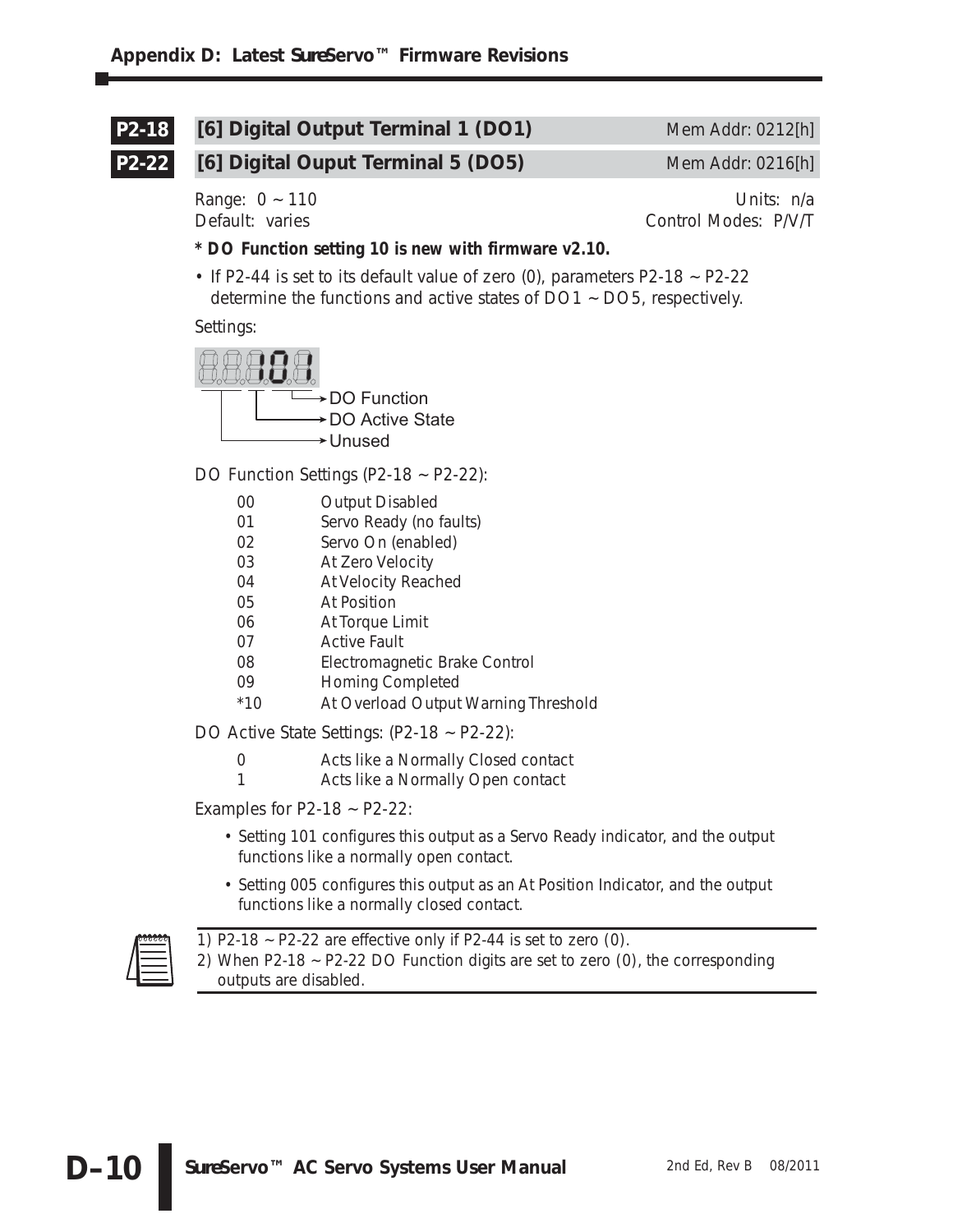#### **[6] Digital Output Terminal 1 (DO1)** Mem Addr: 0212[h] **P2-18**

**P2-22**

## **[6] Digital Ouput Terminal 5 (DO5)** Mem Addr: 0216[h]

Range:  $0 \sim 110$  Units:  $n/a$ Default: varies Control Modes: P/V/T

- **\* DO Function setting 10 is new with firmware v2.10.**
- If P2-44 is set to its default value of zero  $(0)$ , parameters P2-18  $\sim$  P2-22 determine the functions and active states of DO1 ~ DO5, respectively.

Settings:



DO Function Settings (P2-18 ~ P2-22):

- 00 Output Disabled
- 01 Servo Ready (no faults)
- 02 Servo On (enabled)
- 03 At Zero Velocity
- 04 At Velocity Reached
- 05 At Position
- 06 At Torque Limit
- 07 Active Fault
- 08 Electromagnetic Brake Control
- 09 Homing Completed
- \*10 At Overload Output Warning Threshold

DO Active State Settings: (P2-18 ~ P2-22):

- 0 Acts like a Normally Closed contact
- 1 Acts like a Normally Open contact

Examples for  $P2-18 \sim P2-22$ :

- Setting 101 configures this output as a Servo Ready indicator, and the output functions like a normally open contact.
- Setting 005 configures this output as an At Position Indicator, and the output functions like a normally closed contact.

| 00000 |
|-------|
|       |
|       |
|       |

*1) P2-18 ~ P2-22 are effective only if P2-44 is set to zero (0).*

*2) When P2-18 ~ P2-22 DO Function digits are set to zero (0), the corresponding outputs are disabled.*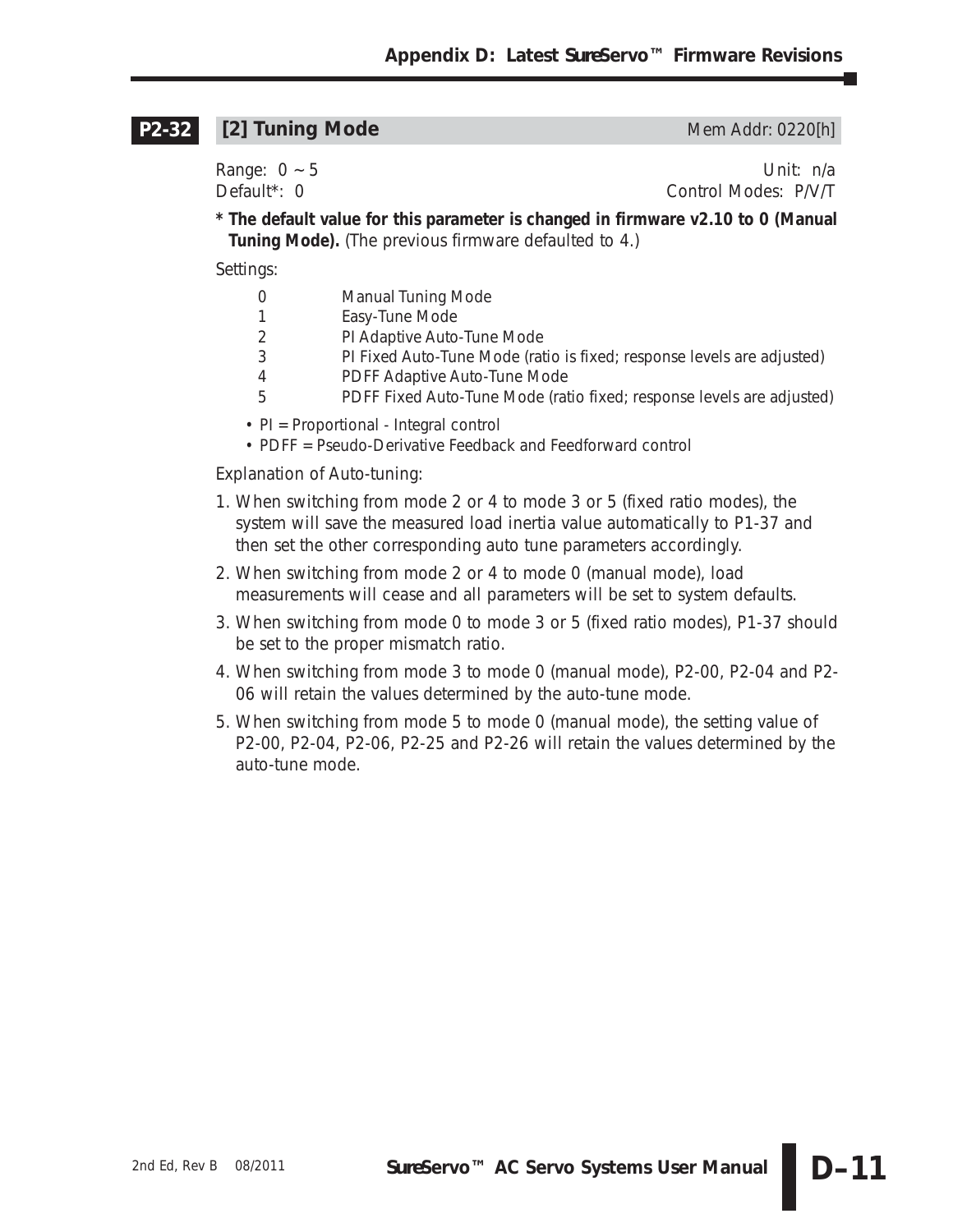#### **[2] Tuning Mode** Mem Addr: 0220[h] **P2-32**

Range: 0 ~ 5 Unit: n/a

Default\*: 0 Control Modes: P/V/T

**\* The default value for this parameter is changed in firmware v2.10 to 0 (Manual Tuning Mode).** (The previous firmware defaulted to 4.)

Settings:

- 0 Manual Tuning Mode
- 1 Easy-Tune Mode
- 2 PI Adaptive Auto-Tune Mode
- 3 PI Fixed Auto-Tune Mode (ratio is fixed; response levels are adjusted)
- 4 PDFF Adaptive Auto-Tune Mode
- 5 PDFF Fixed Auto-Tune Mode (ratio fixed; response levels are adjusted)
- PI = Proportional Integral control
- PDFF = Pseudo-Derivative Feedback and Feedforward control

Explanation of Auto-tuning:

- 1. When switching from mode 2 or 4 to mode 3 or 5 (fixed ratio modes), the system will save the measured load inertia value automatically to P1-37 and then set the other corresponding auto tune parameters accordingly.
- 2. When switching from mode 2 or 4 to mode 0 (manual mode), load measurements will cease and all parameters will be set to system defaults.
- 3. When switching from mode 0 to mode 3 or 5 (fixed ratio modes), P1-37 should be set to the proper mismatch ratio.
- 4. When switching from mode 3 to mode 0 (manual mode), P2-00, P2-04 and P2- 06 will retain the values determined by the auto-tune mode.
- 5. When switching from mode 5 to mode 0 (manual mode), the setting value of P2-00, P2-04, P2-06, P2-25 and P2-26 will retain the values determined by the auto-tune mode.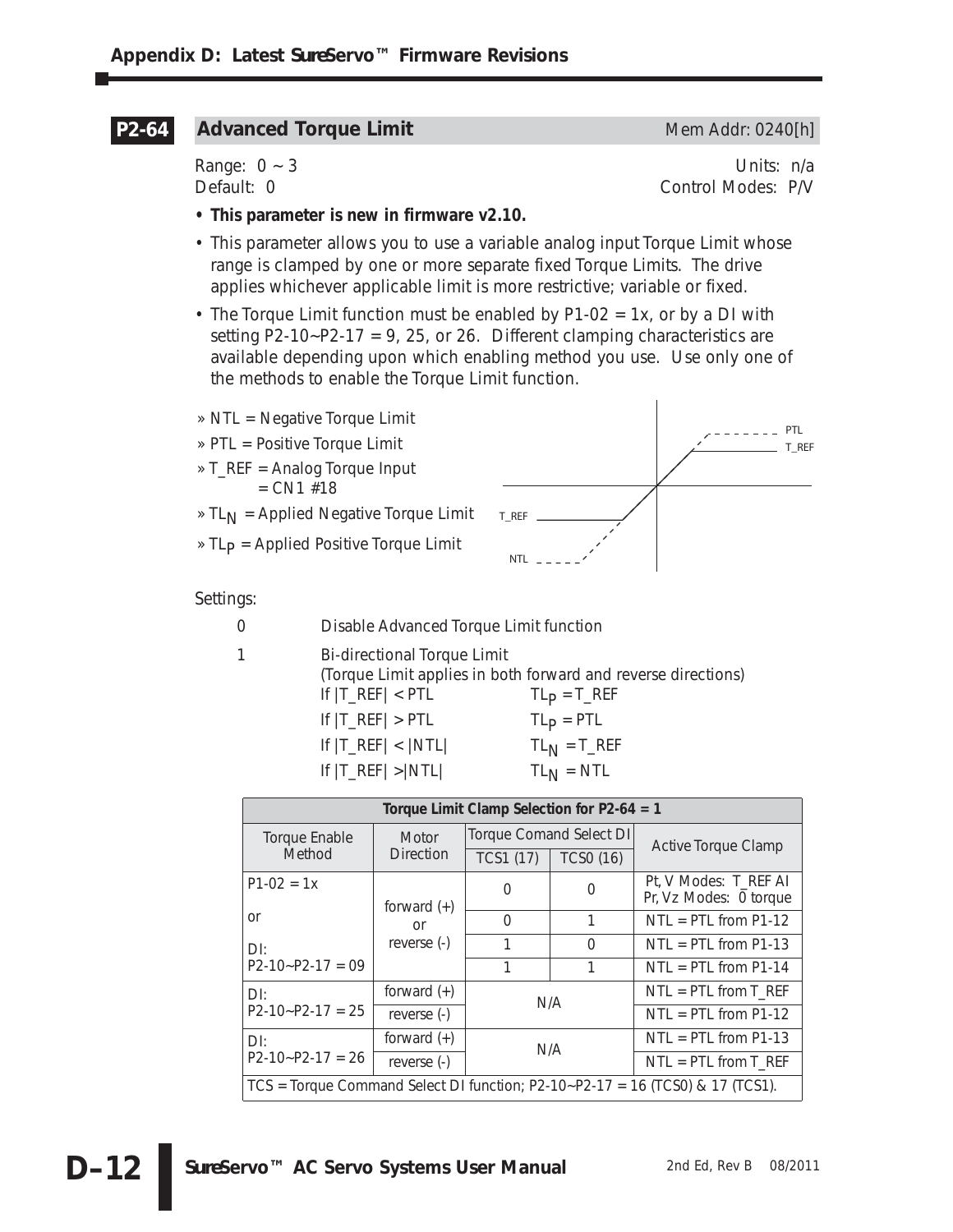#### **Advanced Torque Limit** Mem Addr: 0240[h] **P2-64**

Range:  $0 \sim 3$  Units: n/a Default: 0 Control Modes: P/V

- **This parameter is new in firmware v2.10.**
- This parameter allows you to use a variable analog input Torque Limit whose range is clamped by one or more separate fixed Torque Limits. The drive applies whichever applicable limit is more restrictive; variable or fixed.
- The Torque Limit function must be enabled by P1-02 = 1x, or by a DI with setting P2-10~P2-17 = 9, 25, or 26. Different clamping characteristics are available depending upon which enabling method you use. Use only one of the methods to enable the Torque Limit function.
- » NTL = Negative Torque Limit
- » PTL = Positive Torque Limit
- » T\_REF = Analog Torque Input  $= CN1$  #18
- $\triangleright$  TL<sub>N</sub> = Applied Negative Torque Limit
- $\angle$  TL<sub>p</sub> = Applied Positive Torque Limit



Settings:

- 0 Disable Advanced Torque Limit function
	-

1 Bi-directional Torque Limit (Torque Limit applies in both forward and reverse directions) If  $|T_{\text{REF}}|$  < PTL TL<sub>P</sub> = T\_REF

- If  $|T_{\text{R}}EF| > PTL$  TL<sub>p</sub> = PTL
- If  $|T_{\text{R}}EF| < |NTL|$  TL<sub>N</sub> = T<sub>\_</sub>REF If  $|T_{\text{R}}EF| > |NTL|$  TL<sub>N</sub> = NTL

**Torque Limit Clamp Selection for P2-64 = 1** Torque Enable **Method Motor Direction** Torque Comand Select DI<br>
TCS1 (17) | TCS0 (16) | Active Torque Clamp  $P1-02 = 1x$ or DI:  $P2-10-P2-17 = 09$ forward (+) or reverse (-)  $\begin{array}{ccc} 0 & 0 & \mathbb{R} \end{array}$  Pt, V Modes: T\_REF AI Pr, Vz Modes: 0 torque 0 1 | NTL = PTL from P1-12  $1 \qquad 0 \qquad \text{NTL} = \text{PTL from P1-13}$ 1  $1$  NTL = PTL from P1-14 DI:  $P2-10-P2-17 = 25$  $\begin{array}{c|c}\n\text{forward (+)} \\
\hline\n\text{reverse (-)}\n\end{array}$  N/A  $\begin{array}{c|c}\n\text{NTL = PTL from T\_REF} \\
\hline\n\text{NTL = PTL from P1-12}\n\end{array}$  $NTL = PTL from P1-12$ DI:  $P2-10-P2-17 = 26$  $\begin{array}{c|c}\n\text{forward (+)} \\
\hline\n\text{reverse (-)}\n\end{array}$  N/A  $NTL = PTL from P1-13$  $NTL = PTL from T_REF$ TCS = Torque Command Select DI function; P2-10~P2-17 = 16 (TCS0) & 17 (TCS1).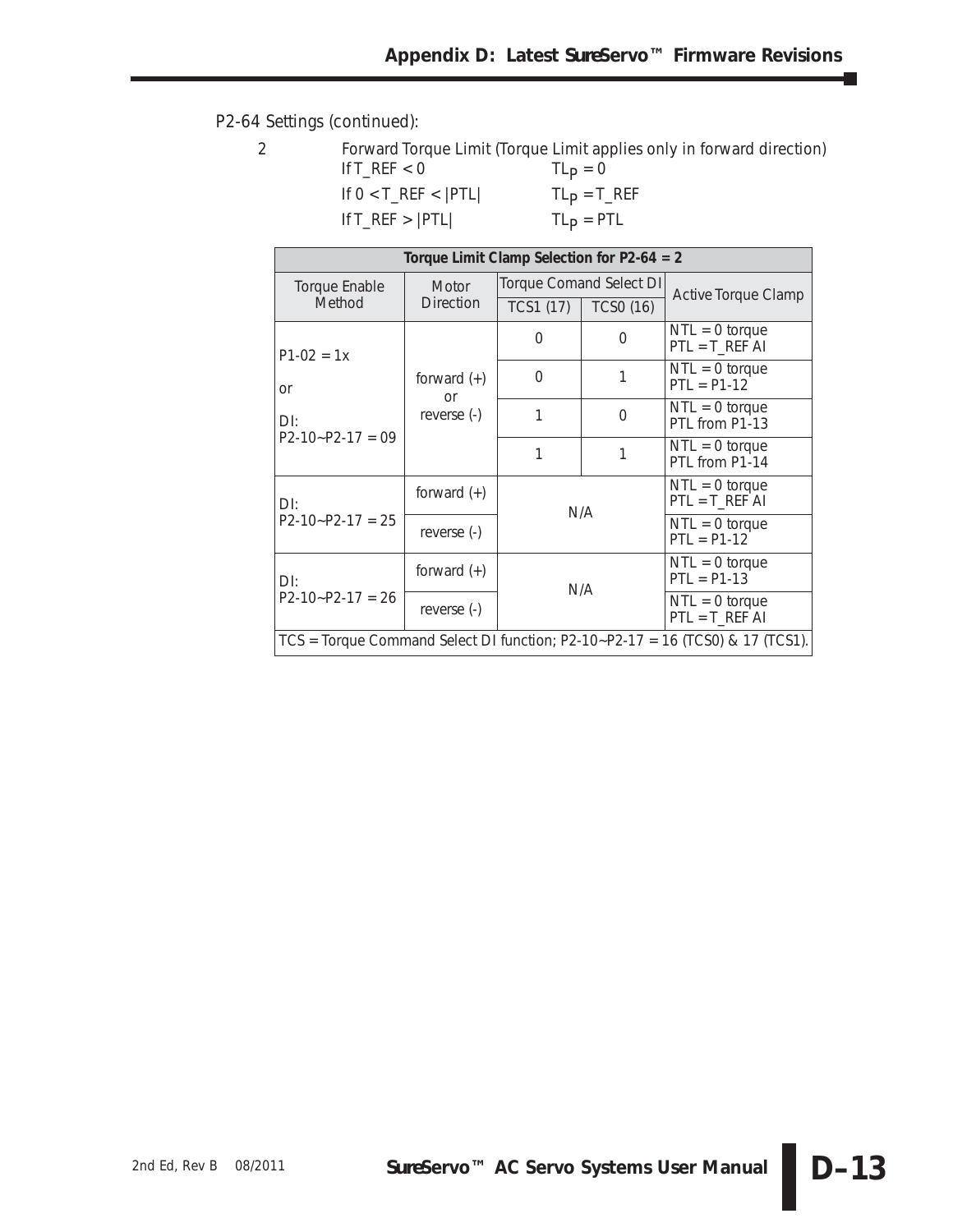٦

### P2-64 Settings (continued):

|                            | Forward Torque Limit (Torque Limit applies only in forward direction) |
|----------------------------|-----------------------------------------------------------------------|
| If T_REF $<$ 0             | $TLp = 0$                                                             |
| If $0 < T$ REF $<$ $ PTL $ | $TLp = T_REF$                                                         |
| If $T_REF >  PTL $         | $TLP = PTL$                                                           |
|                            |                                                                       |

|                    | Torque Limit Clamp Selection for $P2-64 = 2$ |           |                         |                                                                                 |  |  |  |  |  |
|--------------------|----------------------------------------------|-----------|-------------------------|---------------------------------------------------------------------------------|--|--|--|--|--|
| Torque Enable      | Motor                                        |           | Torque Comand Select DI | <b>Active Torque Clamp</b>                                                      |  |  |  |  |  |
| Method             | <b>Direction</b>                             | TCS1 (17) | <b>TCSO (16)</b>        |                                                                                 |  |  |  |  |  |
| $P1-02 = 1x$       |                                              | 0         | 0                       | $NTL = 0$ torque<br>$PTL = T_REF AI$                                            |  |  |  |  |  |
| or                 | forward $(+)$<br><b>or</b>                   | $\Omega$  |                         | $NTL = 0$ torque<br>$PTL = P1-12$                                               |  |  |  |  |  |
| $D$ :              | reverse (-)                                  |           | $\Omega$                | $NTL = 0$ torque<br>PTL from P1-13                                              |  |  |  |  |  |
| $P2-10-P2-17=09$   |                                              |           | 1                       | $NTL = 0$ torque<br>PTL from P1-14                                              |  |  |  |  |  |
| $D$ :              | forward $(+)$                                |           | N/A                     | $NTL = 0$ torque<br>$PTL = T_REF AI$                                            |  |  |  |  |  |
| $P2-10-P2-17 = 25$ | reverse (-)                                  |           |                         | $NTL = 0$ torque<br>$PTL = P1-12$                                               |  |  |  |  |  |
| $D$ l:             | forward $(+)$                                |           | N/A                     | $NTL = 0$ torque<br>$PTL = P1-13$                                               |  |  |  |  |  |
| $P2-10-P2-17 = 26$ | reverse (-)                                  |           |                         | $NTL = 0$ torque<br>$PTL = T_REF AI$                                            |  |  |  |  |  |
|                    |                                              |           |                         | $TCS$ = Torque Command Select DI function; P2-10~P2-17 = 16 (TCS0) & 17 (TCS1). |  |  |  |  |  |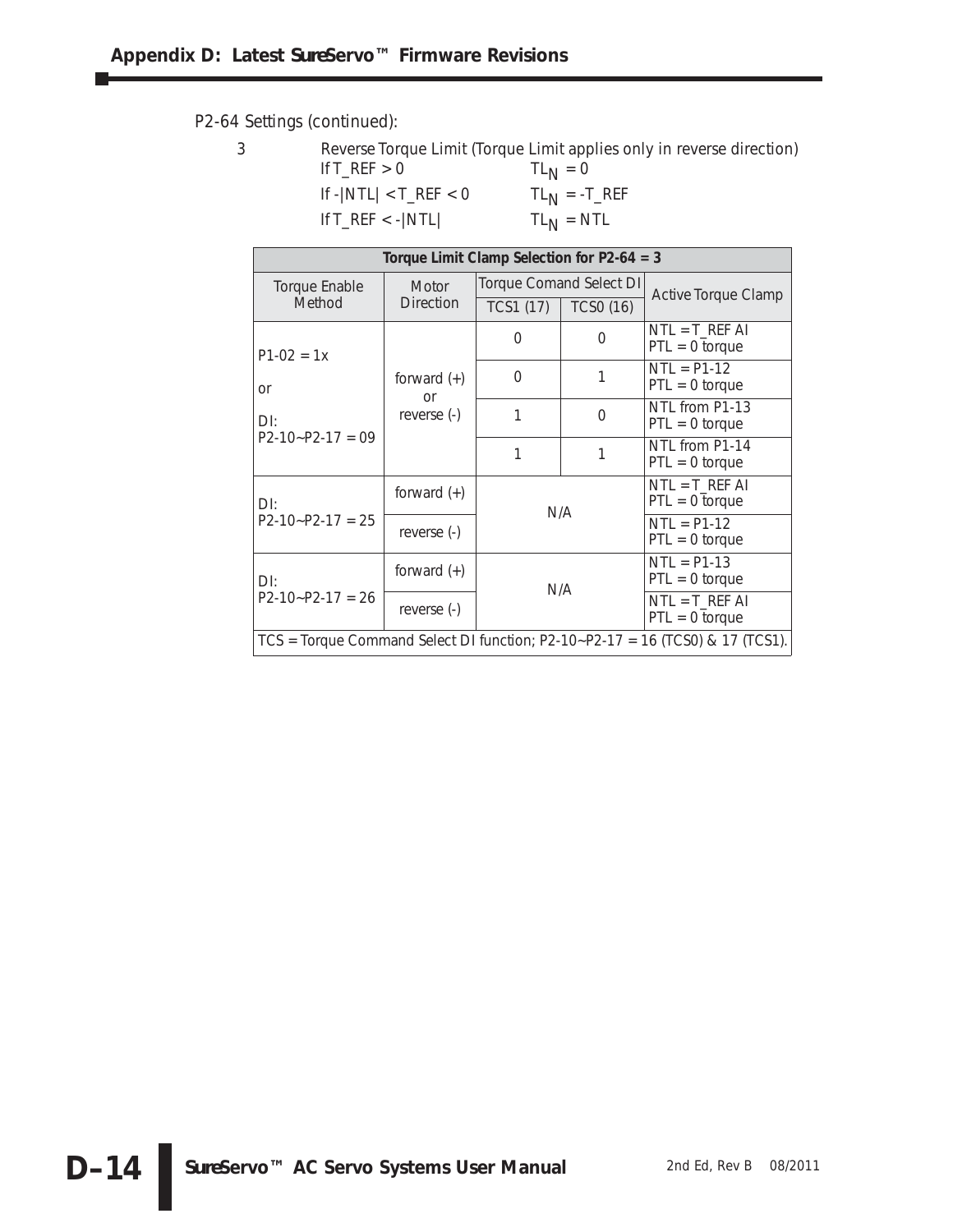P2-64 Settings (continued):

|                                                | Reverse Torque Limit (Torque Limit applies only in reverse direction) |
|------------------------------------------------|-----------------------------------------------------------------------|
| If $T$ <sub>REF</sub> $> 0$                    | $TL_{N} = 0$                                                          |
| If $- NTL  < T_REF < 0$                        | $TL_{N} = -T_{R}EF$                                                   |
| If $T_{\text{R}}$ $\leq$ - $\vert$ NTL $\vert$ | $TL_{N} = NTL$                                                        |

|                      | Torque Limit Clamp Selection for $P2-64 = 3$ |           |                         |                                                                                 |  |  |  |  |  |
|----------------------|----------------------------------------------|-----------|-------------------------|---------------------------------------------------------------------------------|--|--|--|--|--|
| <b>Torque Enable</b> | <b>Motor</b>                                 |           | Torque Comand Select DI | <b>Active Torque Clamp</b>                                                      |  |  |  |  |  |
| Method               | <b>Direction</b>                             | TCS1 (17) | <b>TCSO (16)</b>        |                                                                                 |  |  |  |  |  |
| $P1-02 = 1x$         |                                              | 0         | O                       | $NTL = T_REF AI$<br>$PTL = 0$ torque                                            |  |  |  |  |  |
| or                   | forward $(+)$<br>or                          | $\Omega$  | 1                       | $NTL = P1-12$<br>$PTL = 0$ torque                                               |  |  |  |  |  |
| $D$ l:               | reverse (-)                                  | 1         | $\Omega$                | NTL from P1-13<br>$PTL = 0$ torque                                              |  |  |  |  |  |
| $P2-10-P2-17=09$     |                                              | 1         | 1                       | NTL from P1-14<br>$PTL = 0$ torque                                              |  |  |  |  |  |
| $D$ l:               | forward $(+)$                                |           | N/A                     | $NTL = T_REF AI$<br>$PTL = 0$ torque                                            |  |  |  |  |  |
| $P2-10-P2-17 = 25$   | reverse (-)                                  |           |                         | $NTL = P1-12$<br>$PTL = 0$ torque                                               |  |  |  |  |  |
| $D$ l:               | forward $(+)$                                |           | N/A                     | $NTL = P1-13$<br>$PTL = 0$ torque                                               |  |  |  |  |  |
| $P2-10-P2-17 = 26$   | reverse (-)                                  |           |                         | $NTL = T_REF AI$<br>$PTL = 0$ torque                                            |  |  |  |  |  |
|                      |                                              |           |                         | $TCS$ = Torque Command Select DI function; P2-10~P2-17 = 16 (TCS0) & 17 (TCS1). |  |  |  |  |  |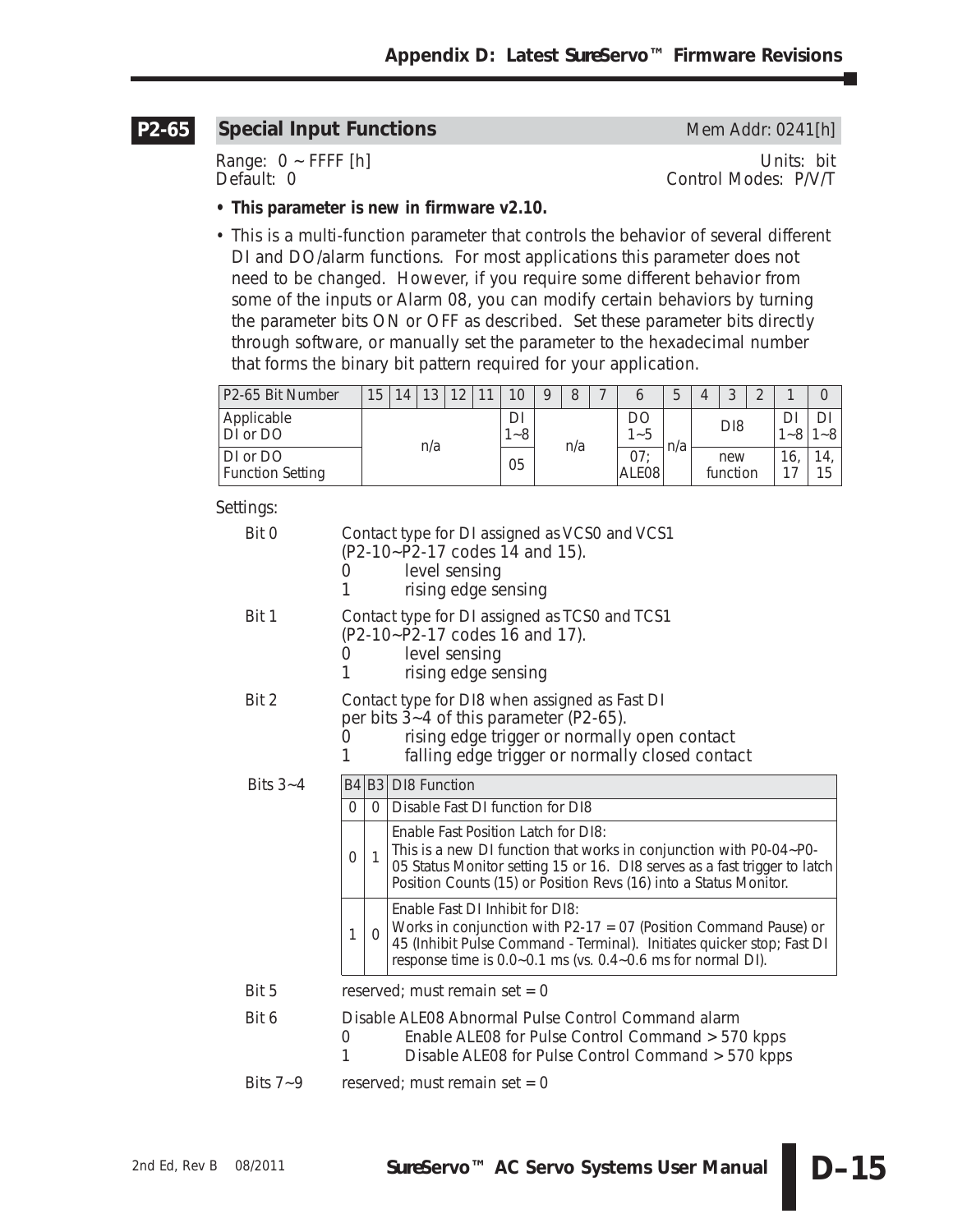#### **Special Input Functions** Mem Addr: 0241[h] **P2-65**

Range: 0 ~ FFFF [h] Units: bit<br>Default: 0 Control Modes: P/V/T Control Modes: P/V/T

- **This parameter is new in firmware v2.10.**
- This is a multi-function parameter that controls the behavior of several different DI and DO/alarm functions. For most applications this parameter does not need to be changed. However, if you require some different behavior from some of the inputs or Alarm 08, you can modify certain behaviors by turning the parameter bits ON or OFF as described. Set these parameter bits directly through software, or manually set the parameter to the hexadecimal number that forms the binary bit pattern required for your application.

| P2-65 Bit Number                    | 15  | 14 | 12<br>J | $\Omega$ | ◀ | 10                | $\Omega$ |  |               |                          |                 |                 | J | $\sim$                    |           |  |
|-------------------------------------|-----|----|---------|----------|---|-------------------|----------|--|---------------|--------------------------|-----------------|-----------------|---|---------------------------|-----------|--|
| Applicable<br>DI or DO              |     |    |         |          |   | DI<br>$-8$<br>n/a |          |  | DC<br>$1 - 5$ | n/a                      | D <sub>18</sub> |                 |   | $\widetilde{\phantom{m}}$ | -8        |  |
| DI or DO<br><b>Function Setting</b> | n/a |    |         |          |   | 05                |          |  |               | 07:<br>ALE <sub>08</sub> |                 | new<br>function |   | 16,                       | 14.<br>15 |  |

| Bit 0        | 0<br>1                                                                                                                                                                  | Contact type for DI assigned as VCS0 and VCS1<br>(P2-10~P2-17 codes 14 and 15).<br>level sensing<br>rising edge sensing      |                                                                                                                                                                                                                                                             |  |  |  |  |  |  |  |  |
|--------------|-------------------------------------------------------------------------------------------------------------------------------------------------------------------------|------------------------------------------------------------------------------------------------------------------------------|-------------------------------------------------------------------------------------------------------------------------------------------------------------------------------------------------------------------------------------------------------------|--|--|--|--|--|--|--|--|
| Bit 1        | 1                                                                                                                                                                       | Contact type for DI assigned as TCS0 and TCS1<br>(P2-10~P2-17 codes 16 and 17).<br>level sensing<br>0<br>rising edge sensing |                                                                                                                                                                                                                                                             |  |  |  |  |  |  |  |  |
| Bit 2        | 0<br>1                                                                                                                                                                  |                                                                                                                              | Contact type for DI8 when assigned as Fast DI<br>per bits 3~4 of this parameter (P2-65).<br>rising edge trigger or normally open contact<br>falling edge trigger or normally closed contact                                                                 |  |  |  |  |  |  |  |  |
| Bits $3 - 4$ |                                                                                                                                                                         |                                                                                                                              | B4 B3 DI8 Function                                                                                                                                                                                                                                          |  |  |  |  |  |  |  |  |
|              | $\Omega$                                                                                                                                                                | $\Omega$                                                                                                                     | Disable Fast DI function for DI8                                                                                                                                                                                                                            |  |  |  |  |  |  |  |  |
|              | $\Omega$                                                                                                                                                                | $\mathbf{1}$                                                                                                                 | Enable Fast Position Latch for DI8:<br>This is a new DI function that works in conjunction with P0-04~P0-<br>05 Status Monitor setting 15 or 16. DI8 serves as a fast trigger to latch<br>Position Counts (15) or Position Revs (16) into a Status Monitor. |  |  |  |  |  |  |  |  |
|              | 1                                                                                                                                                                       | $\Omega$                                                                                                                     | Enable Fast DI Inhibit for DI8:<br>Works in conjunction with $P2-17 = 07$ (Position Command Pause) or<br>45 (Inhibit Pulse Command - Terminal). Initiates quicker stop; Fast DI<br>response time is 0.0~0.1 ms (vs. 0.4~0.6 ms for normal DI).              |  |  |  |  |  |  |  |  |
| Bit 5        |                                                                                                                                                                         |                                                                                                                              | reserved; must remain set = $0$                                                                                                                                                                                                                             |  |  |  |  |  |  |  |  |
| Bit 6        | Disable ALE08 Abnormal Pulse Control Command alarm<br>Enable ALE08 for Pulse Control Command > 570 kpps<br>0<br>1<br>Disable ALE08 for Pulse Control Command > 570 kpps |                                                                                                                              |                                                                                                                                                                                                                                                             |  |  |  |  |  |  |  |  |
| Bits $7 - 9$ |                                                                                                                                                                         | reserved; must remain set = $0$                                                                                              |                                                                                                                                                                                                                                                             |  |  |  |  |  |  |  |  |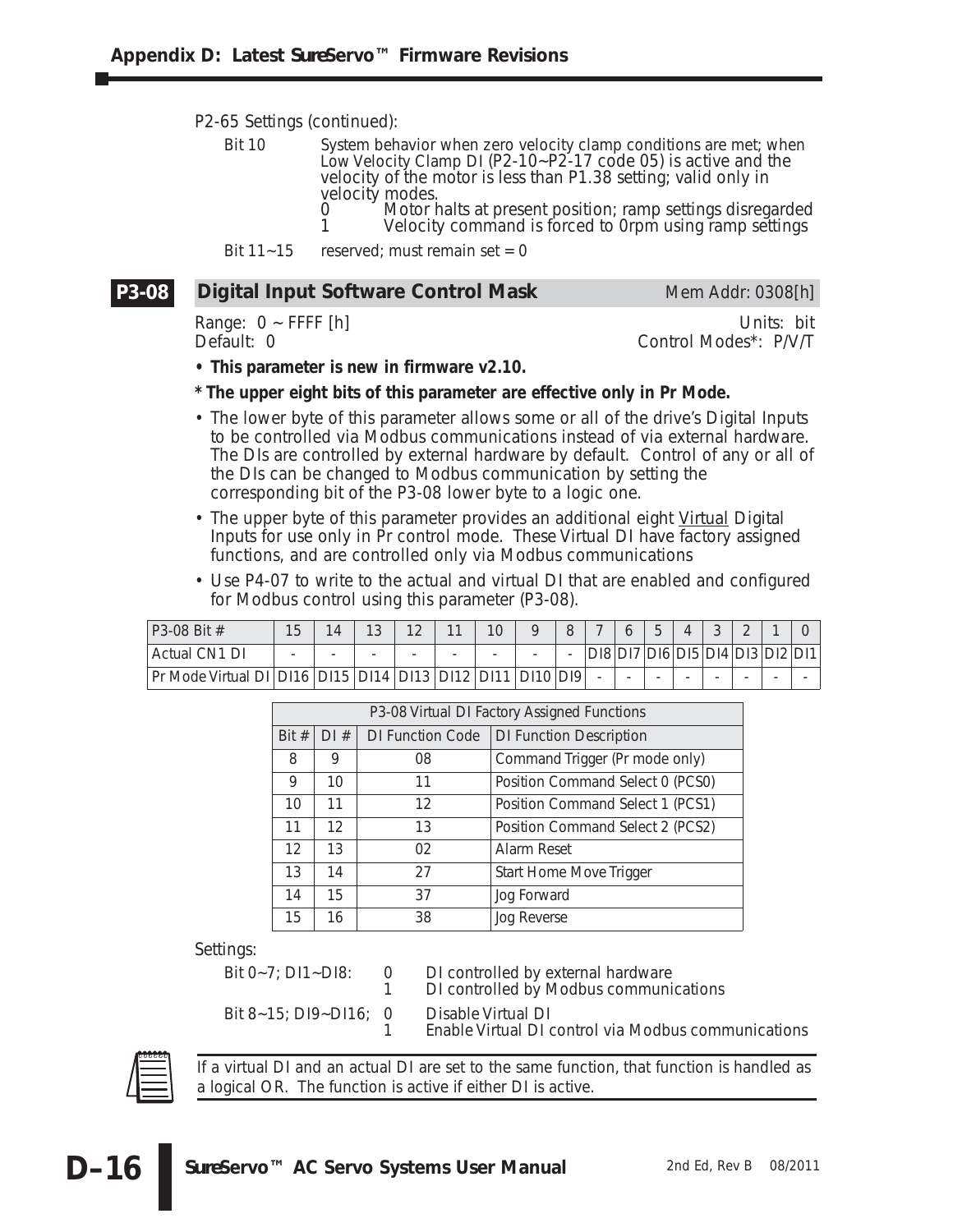P2-65 Settings (continued):

Bit 10 System behavior when zero velocity clamp conditions are met; when Low Velocity Clamp DI (P2-10~P2-17 code 05) is active and the velocity of the motor is less than P1.38 setting; valid only in velocity modes.

- 0 Motor halts at present position; ramp settings disregarded<br>1 Melocity command is forced to 0rpm using ramp settings Velocity command is forced to 0rpm using ramp settings
- Bit  $11 15$  reserved; must remain set = 0

#### **Digital Input Software Control Mask** Mem Addr: 0308[h] **P3-08**

Range: 0 ~ FFFF [h] Units: bit<br>Default: 0 Control Modes\*: P/V/T

## Control Modes\*: P/V/T

**• This parameter is new in firmware v2.10.**

- **\* The upper eight bits of this parameter are effective only in Pr Mode.**
- The lower byte of this parameter allows some or all of the drive's Digital Inputs to be controlled via Modbus communications instead of via external hardware. The DIs are controlled by external hardware by default. Control of any or all of the DIs can be changed to Modbus communication by setting the corresponding bit of the P3-08 lower byte to a logic one.
- The upper byte of this parameter provides an additional eight Virtual Digital Inputs for use only in Pr control mode. These Virtual DI have factory assigned functions, and are controlled only via Modbus communications
- Use P4-07 to write to the actual and virtual DI that are enabled and configured for Modbus control using this parameter (P3-08).

| $P3-08$ Bit #            | 15                       | 14   |                          | 1 <sub>0</sub>           | 11                 | 10                       |     |  |  |                          |   |                                 |
|--------------------------|--------------------------|------|--------------------------|--------------------------|--------------------|--------------------------|-----|--|--|--------------------------|---|---------------------------------|
| Actual CN1 DI            | $\overline{\phantom{0}}$ |      | $\overline{\phantom{a}}$ | $\overline{\phantom{0}}$ |                    | $\overline{\phantom{a}}$ |     |  |  |                          |   | DI8 DI7 DI6 DI5 DI4 DI3 DI2 DI1 |
| Pr Mode Virtual DII DI16 |                          | DI15 | DI14                     |                          | DI13   DI12   DI11 |                          | DI9 |  |  | $\overline{\phantom{a}}$ | - |                                 |

|       | P3-08 Virtual DI Factory Assigned Functions |                         |                                  |  |  |  |  |  |  |  |
|-------|---------------------------------------------|-------------------------|----------------------------------|--|--|--|--|--|--|--|
| Bit # | DI#                                         | <b>DI Function Code</b> | <b>DI Function Description</b>   |  |  |  |  |  |  |  |
| 8     | 9                                           | 08                      | Command Trigger (Pr mode only)   |  |  |  |  |  |  |  |
| 9     | 10                                          | 11                      | Position Command Select 0 (PCS0) |  |  |  |  |  |  |  |
| 10    | 11                                          | 12                      | Position Command Select 1 (PCS1) |  |  |  |  |  |  |  |
| 11    | 12                                          | 13                      | Position Command Select 2 (PCS2) |  |  |  |  |  |  |  |
| 12    | 13                                          | 02                      | Alarm Reset                      |  |  |  |  |  |  |  |
| 13    | 14                                          | 27                      | Start Home Move Trigger          |  |  |  |  |  |  |  |
| 14    | 15                                          | 37                      | Jog Forward                      |  |  |  |  |  |  |  |
| 15    | 16                                          | 38                      | Jog Reverse                      |  |  |  |  |  |  |  |

Settings:

Bit 0~7; DI1~DI8: 0 DI controlled by external hardware<br>DI controlled by Modbus communi 1 DI controlled by Modbus communications Bit 8~15; DI9~DI16; 0 Disable Virtual DI 1 Enable Virtual DI control via Modbus communications



**D–16**

*If a virtual DI and an actual DI are set to the same function, that function is handled as a logical OR. The function is active if either DI is active.*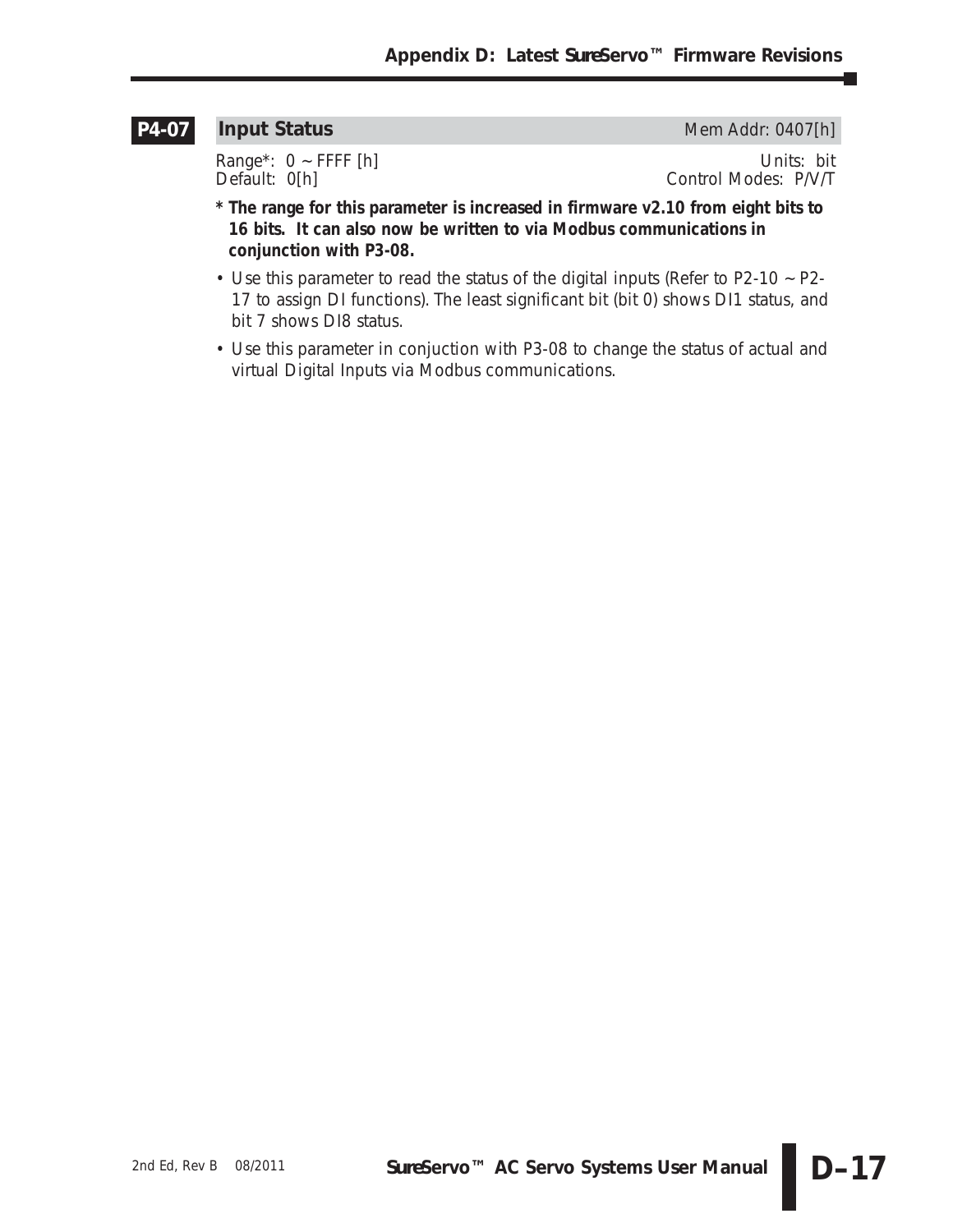### **P4-07**

**Input Status** Mem Addr: 0407[h]

Range\*: 0 ~ FFFF [h] Units: bit<br>Default: 0[h] Control Modes: P/V/T Control Modes: P/V/T

- **\* The range for this parameter is increased in firmware v2.10 from eight bits to 16 bits. It can also now be written to via Modbus communications in conjunction with P3-08.**
- Use this parameter to read the status of the digital inputs (Refer to P2-10 ~ P2- 17 to assign DI functions). The least significant bit (bit 0) shows DI1 status, and bit 7 shows DI8 status.
- Use this parameter in conjuction with P3-08 to change the status of actual and virtual Digital Inputs via Modbus communications.